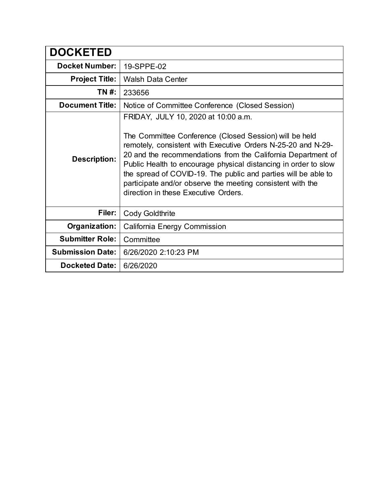| <b>DOCKETED</b>         |                                                                                                                                                                                                                                                                                                                                                                                                                                                                          |  |  |
|-------------------------|--------------------------------------------------------------------------------------------------------------------------------------------------------------------------------------------------------------------------------------------------------------------------------------------------------------------------------------------------------------------------------------------------------------------------------------------------------------------------|--|--|
| <b>Docket Number:</b>   | 19-SPPE-02                                                                                                                                                                                                                                                                                                                                                                                                                                                               |  |  |
| <b>Project Title:</b>   | <b>Walsh Data Center</b>                                                                                                                                                                                                                                                                                                                                                                                                                                                 |  |  |
| TN #:                   | 233656                                                                                                                                                                                                                                                                                                                                                                                                                                                                   |  |  |
| <b>Document Title:</b>  | Notice of Committee Conference (Closed Session)                                                                                                                                                                                                                                                                                                                                                                                                                          |  |  |
| <b>Description:</b>     | FRIDAY, JULY 10, 2020 at 10:00 a.m.<br>The Committee Conference (Closed Session) will be held<br>remotely, consistent with Executive Orders N-25-20 and N-29-<br>20 and the recommendations from the California Department of<br>Public Health to encourage physical distancing in order to slow<br>the spread of COVID-19. The public and parties will be able to<br>participate and/or observe the meeting consistent with the<br>direction in these Executive Orders. |  |  |
| Filer:                  | <b>Cody Goldthrite</b>                                                                                                                                                                                                                                                                                                                                                                                                                                                   |  |  |
| Organization:           | California Energy Commission                                                                                                                                                                                                                                                                                                                                                                                                                                             |  |  |
| <b>Submitter Role:</b>  | Committee                                                                                                                                                                                                                                                                                                                                                                                                                                                                |  |  |
| <b>Submission Date:</b> | 6/26/2020 2:10:23 PM                                                                                                                                                                                                                                                                                                                                                                                                                                                     |  |  |
| <b>Docketed Date:</b>   | 6/26/2020                                                                                                                                                                                                                                                                                                                                                                                                                                                                |  |  |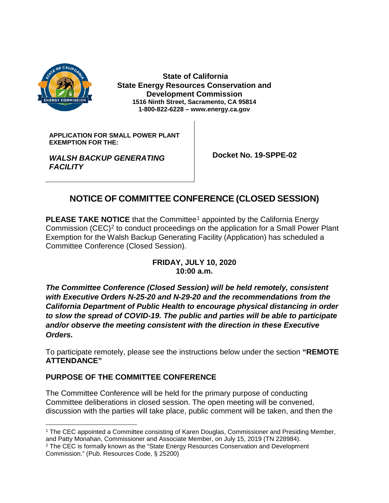

**State of California State Energy Resources Conservation and Development Commission 1516 Ninth Street, Sacramento, CA 95814 1-800-822-6228 – www.energy.ca.gov**

**APPLICATION FOR SMALL POWER PLANT EXEMPTION FOR THE:**

*WALSH BACKUP GENERATING FACILITY*

 **Docket No. 19-SPPE-02**

# **NOTICE OF COMMITTEE CONFERENCE (CLOSED SESSION)**

**PLEASE TAKE NOTICE** that the Committee<sup>[1](#page-1-0)</sup> appointed by the California Energy Commission (CEC)<sup>[2](#page-1-1)</sup> to conduct proceedings on the application for a Small Power Plant Exemption for the Walsh Backup Generating Facility (Application) has scheduled a Committee Conference (Closed Session).

#### **FRIDAY, JULY 10, 2020 10:00 a.m.**

*The Committee Conference (Closed Session) will be held remotely, consistent with Executive Orders N-25-20 and N-29-20 and the recommendations from the California Department of Public Health to encourage physical distancing in order to slow the spread of COVID-19. The public and parties will be able to participate and/or observe the meeting consistent with the direction in these Executive Orders.* 

To participate remotely, please see the instructions below under the section **"REMOTE ATTENDANCE"**

## **PURPOSE OF THE COMMITTEE CONFERENCE**

The Committee Conference will be held for the primary purpose of conducting Committee deliberations in closed session. The open meeting will be convened, discussion with the parties will take place, public comment will be taken, and then the

<span id="page-1-0"></span> <sup>1</sup> The CEC appointed a Committee consisting of Karen Douglas, Commissioner and Presiding Member, and Patty Monahan, Commissioner and Associate Member, on July 15, 2019 (TN 228984).

<span id="page-1-1"></span><sup>&</sup>lt;sup>2</sup> The CEC is formally known as the "State Energy Resources Conservation and Development Commission." (Pub. Resources Code, § 25200)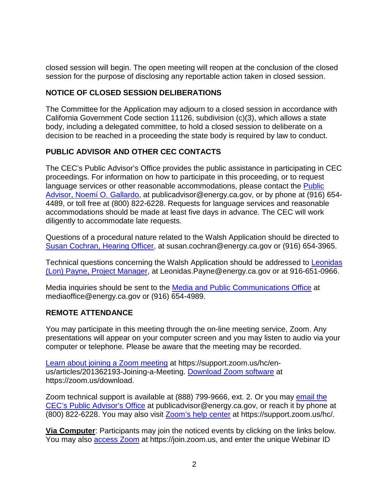closed session will begin. The open meeting will reopen at the conclusion of the closed session for the purpose of disclosing any reportable action taken in closed session.

## **NOTICE OF CLOSED SESSION DELIBERATIONS**

The Committee for the Application may adjourn to a closed session in accordance with California Government Code section 11126, subdivision (c)(3), which allows a state body, including a delegated committee, to hold a closed session to deliberate on a decision to be reached in a proceeding the state body is required by law to conduct.

## **PUBLIC ADVISOR AND OTHER CEC CONTACTS**

The CEC's Public Advisor's Office provides the public assistance in participating in CEC proceedings. For information on how to participate in this proceeding, or to request language services or other reasonable accommodations, please contact the [Public](mailto:publicadvisor@energy.ca.gov)  Advisor, Noemí [O. Gallardo,](mailto:publicadvisor@energy.ca.gov) at publicadvisor@energy.ca.gov, or by phone at (916) 654- 4489, or toll free at (800) 822-6228. Requests for language services and reasonable accommodations should be made at least five days in advance. The CEC will work diligently to accommodate late requests.

Questions of a procedural nature related to the Walsh Application should be directed to [Susan Cochran, Hearing Officer,](mailto:susan.cochran@energy.ca.gov) at susan.cochran@energy.ca.gov or (916) 654-3965.

Technical questions concerning the Walsh Application should be addressed to [Leonidas](mailto:Leonidas.Payne@energy.ca.gov)  [\(Lon\) Payne, Project Manager,](mailto:Leonidas.Payne@energy.ca.gov) at Leonidas.Payne@energy.ca.gov or at 916-651-0966.

Media inquiries should be sent to the [Media and Public Communications Office](mailto:mediaoffice@energy.ca.gov) at mediaoffice@energy.ca.gov or (916) 654-4989.

## **REMOTE ATTENDANCE**

You may participate in this meeting through the on-line meeting service, Zoom. Any presentations will appear on your computer screen and you may listen to audio via your computer or telephone. Please be aware that the meeting may be recorded.

[Learn about joining a Zoom meeting](https://support.zoom.us/hc/en-us/articles/201362193-Joining-a-Meeting) at https://support.zoom.us/hc/enus/articles/201362193-Joining-a-Meeting. [Download Zoom software](https://zoom.us/download) at https://zoom.us/download.

Zoom technical support is available at (888) 799-9666, ext. 2. Or you may [email the](mailto:publicadvisor@energy.ca.gov)  [CEC's Public Advisor's Office](mailto:publicadvisor@energy.ca.gov) at publicadvisor@energy.ca.gov, or reach it by phone at (800) 822-6228. You may also visit [Zoom's help center](https://support.zoom.us/hc/) at https://support.zoom.us/hc/.

**Via Computer**: Participants may join the noticed events by clicking on the links below. You may also [access Zoom](https://join.zoom.us/) at https://join.zoom.us, and enter the unique Webinar ID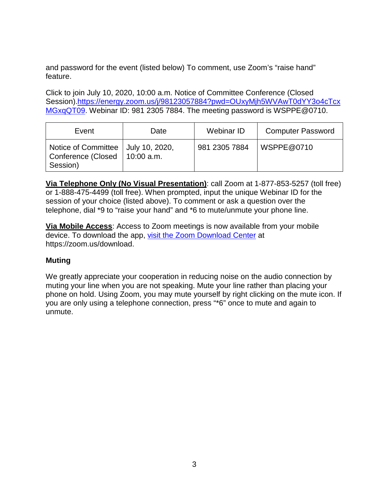and password for the event (listed below) To comment, use Zoom's "raise hand" feature.

Click to join July 10, 2020, 10:00 a.m. Notice of Committee Conference (Closed Session)[.https://energy.zoom.us/j/98123057884?pwd=OUxyMjh5WVAwT0dYY3o4cTcx](https://energy.zoom.us/j/98123057884?pwd=OUxyMjh5WVAwT0dYY3o4cTcxMGxqQT09) [MGxqQT09.](https://energy.zoom.us/j/98123057884?pwd=OUxyMjh5WVAwT0dYY3o4cTcxMGxqQT09) Webinar ID: 981 2305 7884. The meeting password is WSPPE@0710.

| Event                                                                  | Date               | Webinar ID    | <b>Computer Password</b> |
|------------------------------------------------------------------------|--------------------|---------------|--------------------------|
| Notice of Committee   July 10, 2020,<br>Conference (Closed<br>Session) | $\vert$ 10:00 a.m. | 981 2305 7884 | WSPPE@0710               |

**Via Telephone Only (No Visual Presentation)**: call Zoom at 1-877-853-5257 (toll free) or 1-888-475-4499 (toll free). When prompted, input the unique Webinar ID for the session of your choice (listed above). To comment or ask a question over the telephone, dial \*9 to "raise your hand" and \*6 to mute/unmute your phone line.

**Via Mobile Access**: Access to Zoom meetings is now available from your mobile device. To download the app, [visit the Zoom Download Center](https://zoom.us/download) at https://zoom.us/download.

## **Muting**

We greatly appreciate your cooperation in reducing noise on the audio connection by muting your line when you are not speaking. Mute your line rather than placing your phone on hold. Using Zoom, you may mute yourself by right clicking on the mute icon. If you are only using a telephone connection, press "\*6" once to mute and again to unmute.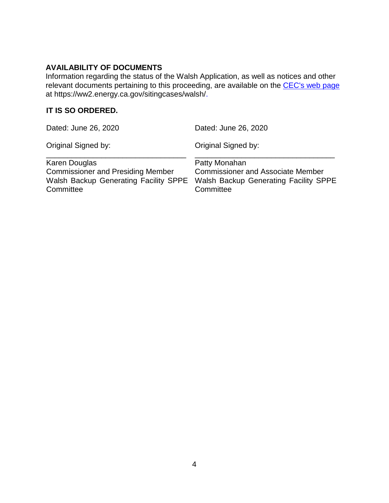#### **AVAILABILITY OF DOCUMENTS**

Information regarding the status of the Walsh Application, as well as notices and other relevant documents pertaining to this proceeding, are available on the [CEC's web page](https://ww2.energy.ca.gov/sitingcases/walsh) at https://ww2.energy.ca.gov/sitingcases/walsh/.

#### **IT IS SO ORDERED.**

| Dated: June 26, 2020                                                                                            | Dated: June 26, 2020                                                                                            |  |  |
|-----------------------------------------------------------------------------------------------------------------|-----------------------------------------------------------------------------------------------------------------|--|--|
| Original Signed by:                                                                                             | Original Signed by:                                                                                             |  |  |
| Karen Douglas<br><b>Commissioner and Presiding Member</b><br>Walsh Backup Generating Facility SPPE<br>Committee | Patty Monahan<br><b>Commissioner and Associate Member</b><br>Walsh Backup Generating Facility SPPE<br>Committee |  |  |